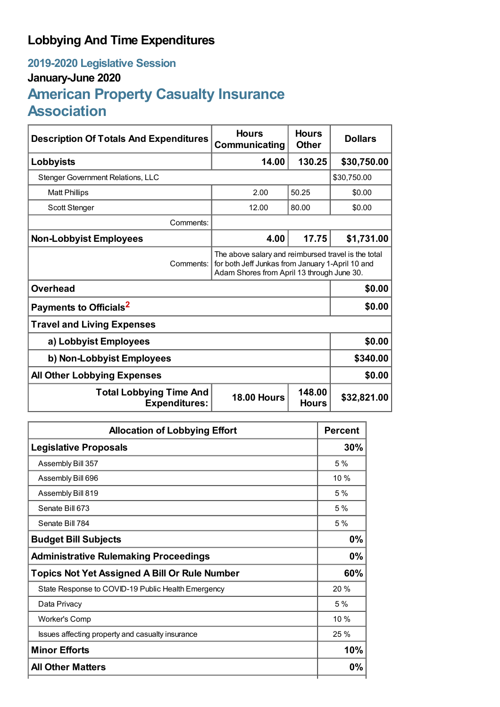## **Lobbying And Time Expenditures**

## **2019-2020 Legislative Session January-June 2020 American Property Casualty Insurance Association**

| <b>Description Of Totals And Expenditures</b>          | <b>Hours</b><br>Communicating                                                                                                                         | <b>Hours</b><br><b>Other</b> | <b>Dollars</b> |  |
|--------------------------------------------------------|-------------------------------------------------------------------------------------------------------------------------------------------------------|------------------------------|----------------|--|
| Lobbyists                                              | 14.00                                                                                                                                                 | 130.25                       | \$30,750.00    |  |
| <b>Stenger Government Relations, LLC</b>               |                                                                                                                                                       |                              | \$30,750.00    |  |
| <b>Matt Phillips</b>                                   | 2.00                                                                                                                                                  | 50.25                        | \$0.00         |  |
| <b>Scott Stenger</b>                                   | 12.00                                                                                                                                                 | 80.00                        | \$0.00         |  |
| Comments:                                              |                                                                                                                                                       |                              |                |  |
| <b>Non-Lobbyist Employees</b>                          | 4.00                                                                                                                                                  | 17.75                        | \$1,731.00     |  |
| Comments:                                              | The above salary and reimbursed travel is the total<br>for both Jeff Junkas from January 1-April 10 and<br>Adam Shores from April 13 through June 30. |                              |                |  |
| <b>Overhead</b>                                        |                                                                                                                                                       |                              | \$0.00         |  |
| Payments to Officials <sup>2</sup>                     |                                                                                                                                                       |                              | \$0.00         |  |
| <b>Travel and Living Expenses</b>                      |                                                                                                                                                       |                              |                |  |
| a) Lobbyist Employees                                  |                                                                                                                                                       |                              | \$0.00         |  |
| b) Non-Lobbyist Employees                              |                                                                                                                                                       |                              | \$340.00       |  |
| <b>All Other Lobbying Expenses</b>                     |                                                                                                                                                       |                              | \$0.00         |  |
| <b>Total Lobbying Time And</b><br><b>Expenditures:</b> | <b>18.00 Hours</b>                                                                                                                                    | 148.00<br><b>Hours</b>       | \$32,821.00    |  |

| <b>Allocation of Lobbying Effort</b>                 |      |
|------------------------------------------------------|------|
| <b>Legislative Proposals</b>                         |      |
| Assembly Bill 357                                    | 5%   |
| Assembly Bill 696                                    | 10 % |
| Assembly Bill 819                                    | 5%   |
| Senate Bill 673                                      | 5%   |
| Senate Bill 784                                      | 5%   |
| <b>Budget Bill Subjects</b>                          | 0%   |
| <b>Administrative Rulemaking Proceedings</b>         | 0%   |
| <b>Topics Not Yet Assigned A Bill Or Rule Number</b> |      |
| State Response to COVID-19 Public Health Emergency   | 20 % |
| Data Privacy                                         | 5%   |
| <b>Worker's Comp</b>                                 | 10 % |
| Issues affecting property and casualty insurance     | 25 % |
| <b>Minor Efforts</b>                                 | 10%  |
| <b>All Other Matters</b>                             | 0%   |